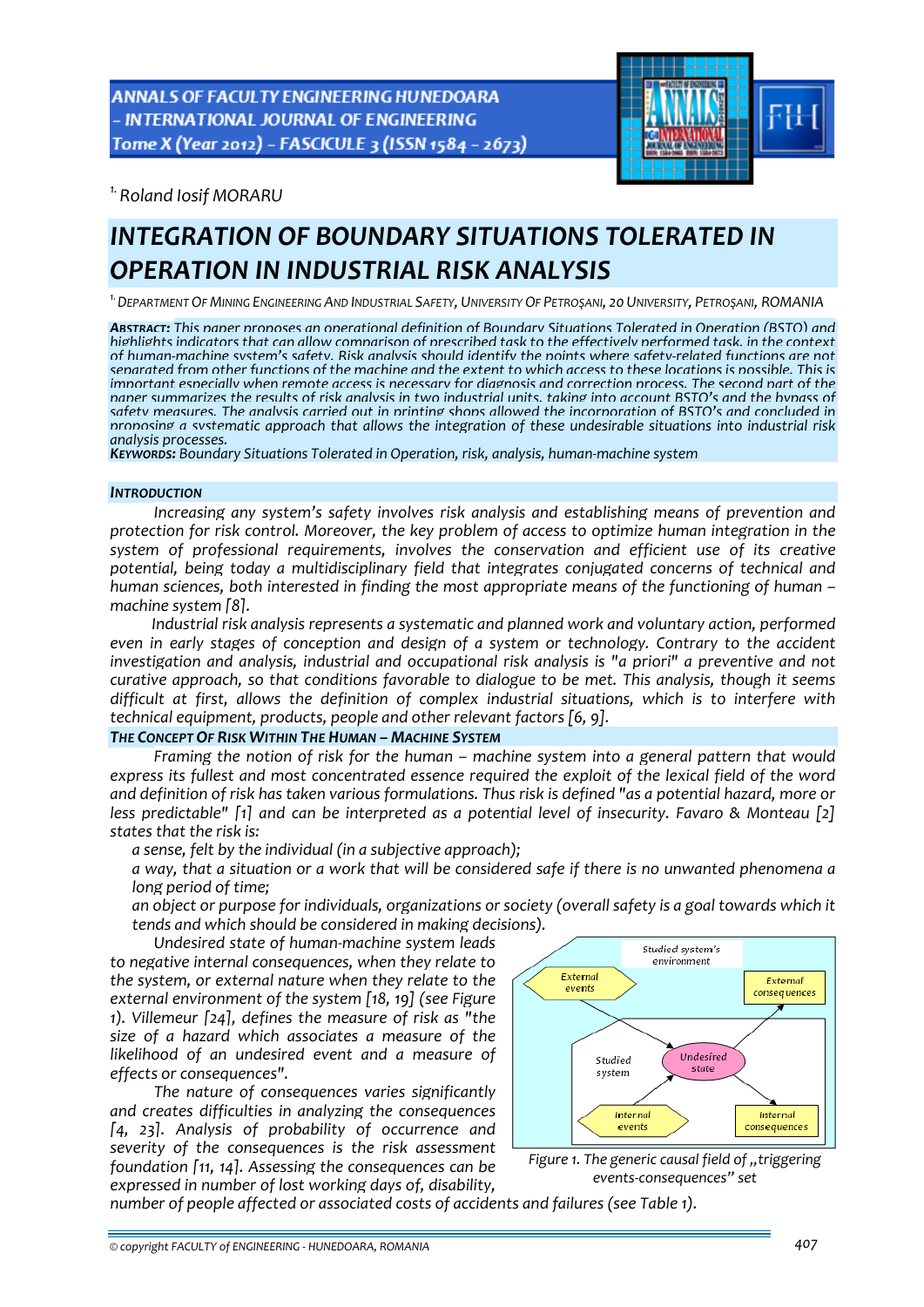**ANNALS OF FACULTY ENGINEERING HUNEDOARA** - INTERNATIONAL JOURNAL OF ENGINEERING Tome X (Year 2012) - FASCICULE 3 (ISSN 1584 - 2673)



*1.Roland Iosif MORARU* 

# *INTEGRATION OF BOUNDARY SITUATIONS TOLERATED IN OPERATION IN INDUSTRIAL RISK ANALYSIS*

<sup>1.</sup> DEPARTMENT OF MINING ENGINEERING AND INDUSTRIAL SAFETY, UNIVERSITY OF PETROSANI, 20 UNIVERSITY, PETROSANI, ROMANIA

*ABSTRACT: This paper proposes an operational definition of Boundary Situations Tolerated in Operation (BSTO) and* highlights indicators that can allow comparison of prescribed task to the effectively performed task, in the context of human-machine system's safety. Risk analysis should identify the points where safety-related functions are not senarated from other functions of the machine and the extent to which access to these locations is nossible. This is important especially when remote access is necessary for diagnosis and correction process. The second part of the<br>paper summarizes the results of risk analysis in two industrial units, taking into account BSTO's and the by safety measures. The analysis carried out in printing shops allowed the incorporation of BSTO's and concluded in *proposing a systematic approach that allows the integration of these undesirable situations into industrial risk*

*analysis processes. KEYWORDS: Boundary Situations Tolerated in Operation, risk, analysis, human‐machine system*

### *INTRODUCTION*

*Increasing any system's safety involves risk analysis and establishing means of prevention and protection for risk control. Moreover, the key problem of access to optimize human integration in the system of professional requirements, involves the conservation and efficient use of its creative potential, being today a multidisciplinary field that integrates conjugated concerns of technical and human sciences, both interested in finding the most appropriate means of the functioning of human – machine system [8].* 

*Industrial risk analysis represents a systematic and planned work and voluntary action, performed even in early stages of conception and design of a system or technology. Contrary to the accident investigation and analysis, industrial and occupational risk analysis is "a priori" a preventive and not curative approach, so that conditions favorable to dialogue to be met. This analysis, though it seems difficult at first, allows the definition of complex industrial situations, which is to interfere with technical equipment, products, people and other relevant factors [6, 9].*

# *THE CONCEPT OF RISK WITHIN THE HUMAN – MACHINE SYSTEM*

*Framing the notion of risk for the human – machine system into a general pattern that would express its fullest and most concentrated essence required the exploit of the lexical field of the word* and definition of risk has taken various formulations. Thus risk is defined "as a potential hazard, more or *less predictable" [1] and can be interpreted as a potential level of insecurity. Favaro & Monteau [2] states that the risk is:*

*a sense, felt by the individual (in a subjective approach);*

a way, that a situation or a work that will be considered safe if there is no unwanted phenomena a *long period of time;*

 *an object or purpose for individuals, organizations or society (overall safety is a goal towards which it tends and which should be considered in making decisions).*

*Undesired state of human‐machine system leads*

*to negative internal consequences, when they relate to the system, or external nature when they relate to the external environment of the system [18, 19] (see Figure 1). Villemeur [24], defines the measure of risk as "the size of a hazard which associates a measure of the likelihood of an undesired event and a measure of effects or consequences".* 

*The nature of consequences varies significantly and creates difficulties in analyzing the consequences [4, 23]. Analysis of probability of occurrence and severity of the consequences is the risk assessment foundation [11, 14]. Assessing the consequences can be expressed in number of lost working days of, disability,*





*number of people affected or associated costs of accidents and failures (see Table 1).*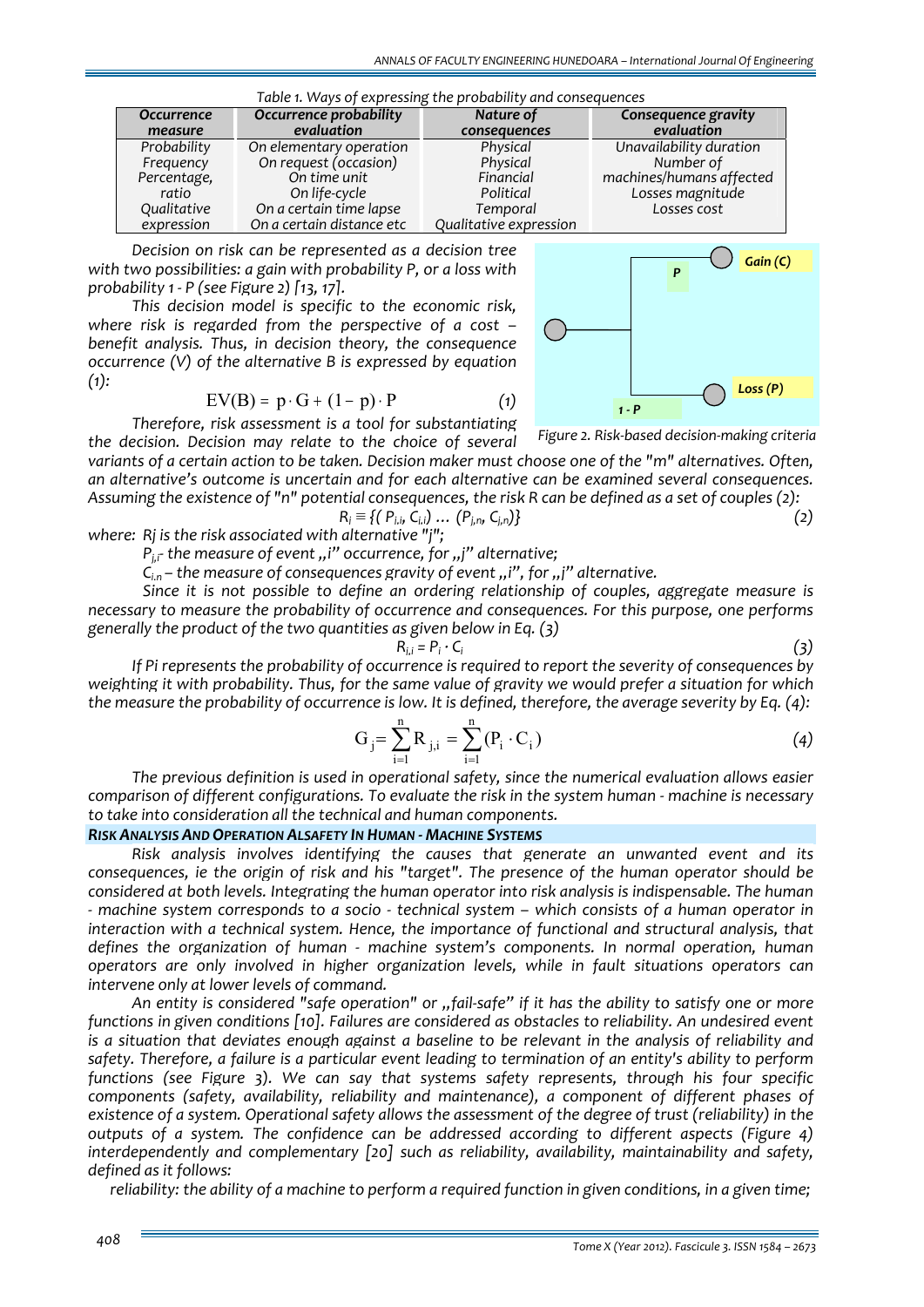| Table 1. Ways of expressing the probability and consequences |                           |                        |                          |  |  |  |  |
|--------------------------------------------------------------|---------------------------|------------------------|--------------------------|--|--|--|--|
| <b>Occurrence</b>                                            | Occurrence probability    | Nature of              | Consequence gravity      |  |  |  |  |
| measure                                                      | evaluation                | consequences           | evaluation               |  |  |  |  |
| Probability                                                  | On elementary operation   | Physical               | Unavailability duration  |  |  |  |  |
| Frequency                                                    | On request (occasion)     | Physical               | Number of                |  |  |  |  |
| Percentage,                                                  | On time unit              | Financial              | machines/humans affected |  |  |  |  |
| ratio                                                        | On life-cycle             | Political              | Losses magnitude         |  |  |  |  |
| Qualitative                                                  | On a certain time lapse   | Temporal               | Losses cost              |  |  |  |  |
| expression                                                   | On a certain distance etc | Qualitative expression |                          |  |  |  |  |

*Decision on risk can be represented as a decision tree with two possibilities: a gain with probability P, or a loss with probability 1 ‐ P (see Figure 2) [13, 17].*

*This decision model is specific to the economic risk, where risk is regarded from the perspective of a cost – benefit analysis. Thus, in decision theory, the consequence occurrence (V) of the alternative B is expressed by equation*  $(1)$ :

$$
EV(B) = p \cdot G + (1 - p) \cdot P \tag{1}
$$

*Therefore, risk assessment is a tool for substantiating the decision. Decision may relate to the choice of several* variants of a certain action to be taken. Decision maker must choose one of the "m" alternatives. Often, *an alternative's outcome is uncertain and for each alternative can be examined several consequences.* Assuming the existence of "n" potential consequences, the risk R can be defined as a set of couples (2): *Figure 2. Risk‐based decision‐making criteria*

$$
R_i = \{ (P_{i,i}, C_{i,i}) \dots (P_{j,n}, C_{j,n}) \}
$$
 (2)

*where: Rj is the risk associated with alternative "j";*

*P*<sub>*i*</sub><sup> $\cdot$ </sup> *r the measure* of *event ,i*<sup>*n*</sup> occurrence, for *,,j*<sup>*n*</sup> alternative;

*C*<sub>in</sub> – the measure of consequences gravity of event , i'', for , j'' alternative.

*Since it is not possible to define an ordering relationship of couples, aggregate measure is necessary to measure the probability of occurrence and consequences. For this purpose, one performs generally the product of the two quantities as given below in Eq. (3)*

$$
R_{i.i} = P_i \cdot C_i
$$

 $R_{i,j} = P_i \cdot C_i$  (3) *If Pi represents the probability of occurrence is required to report the severity of consequences by* weighting it with probability. Thus, for the same value of gravity we would prefer a situation for which the measure the probability of occurrence is low. It is defined, therefore, the average severity by Eq. (4):

$$
G_j = \sum_{i=1}^{n} R_{j,i} = \sum_{i=1}^{n} (P_i \cdot C_i)
$$
 (4)

*The previous definition is used in operational safety, since the numerical evaluation allows easier comparison of different configurations. To evaluate the risk in the system human ‐ machine is necessary to take into consideration all the technical and human components.*

# *RISK ANALYSIS AND OPERATION ALSAFETY IN HUMAN ‐ MACHINE SYSTEMS*

*Risk analysis involves identifying the causes that generate an unwanted event and its consequences, ie the origin of risk and his "target". The presence of the human operator should be considered at both levels. Integrating the human operator into risk analysis is indispensable. The human* - machine system corresponds to a socio - technical system – which consists of a human operator in *interaction with a technical system. Hence, the importance of functional and structural analysis, that defines the organization of human ‐ machine system's components. In normal operation, human operators are only involved in higher organization levels, while in fault situations operators can intervene only at lower levels of command.*

An entity is considered "safe operation" or "fail-safe" if it has the ability to satisfy one or more *functions in given conditions [10]. Failures are considered as obstacles to reliability. An undesired event* is a situation that deviates enough against a baseline to be relevant in the analysis of reliability and safety. Therefore, a failure is a particular event leading to termination of an entity's ability to perform *functions (see Figure 3). We can say that systems safety represents, through his four specific components (safety, availability, reliability and maintenance), a component of different phases of* existence of a system. Operational safety allows the assessment of the degree of trust (reliability) in the *outputs of a system. The confidence can be addressed according to different aspects (Figure 4) interdependently and complementary [20] such as reliability, availability, maintainability and safety, defined as it follows:*

reliability: the ability of a machine to perform a required function in given conditions, in a given time;



*Gain (C) <sup>P</sup>*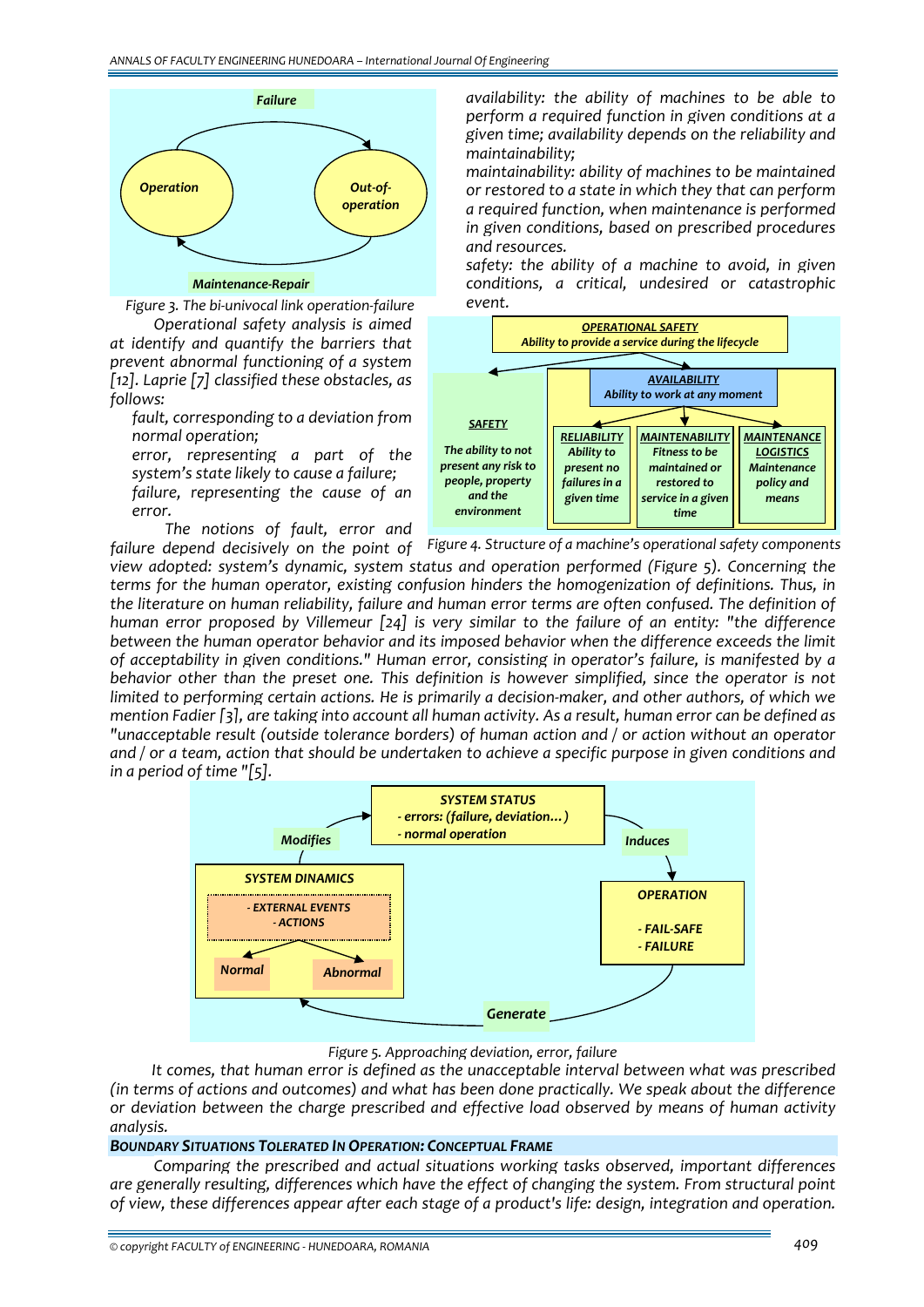

*Figure 3. The bi‐univocal link operation‐failure*

*Operational safety analysis is aimed at identify and quantify the barriers that prevent abnormal functioning of a system [12]. Laprie [7] classified these obstacles, as follows:*

 *fault, corresponding to a deviation from normal operation;*

 *error, representing a part of the system's state likely to cause a failure; failure, representing the cause of an*

*error. The notions of fault, error and*  *availability: the ability of machines to be able to perform a required function in given conditions at a given time; availability depends on the reliability and maintainability;*

 *maintainability: ability of machines to be maintained or restored to a state in which they that can perform a required function, when maintenance is performed in given conditions, based on prescribed procedures and resources.* 

 *safety: the ability of a machine to avoid, in given conditions, a critical, undesired or catastrophic event.*



failure depend decisively on the point of Figure 4. Structure of a machine's operational safety components

*view adopted: system's dynamic, system status and operation performed (Figure 5). Concerning the terms for the human operator, existing confusion hinders the homogenization of definitions. Thus, in the literature on human reliability, failure and human error terms are often confused. The definition of human error proposed by Villemeur [24] is very similar to the failure of an entity: "the difference between the human operator behavior and its imposed behavior when the difference exceeds the limit of acceptability in given conditions." Human error, consisting in operator's failure, is manifested by a behavior other than the preset one. This definition is however simplified, since the operator is not* limited to performing certain actions. He is primarily a decision-maker, and other authors, of which we mention Fadier [3], are taking into account all human activity. As a result, human error can be defined as *"unacceptable result (outside tolerance borders) of human action and / or action without an operator* and / or a team, action that should be undertaken to achieve a specific purpose in given conditions and *in a period of time "[5].*



# *Figure 5. Approaching deviation, error, failure*

*It comes, that human error is defined as the unacceptable interval between what was prescribed (in terms of actions and outcomes) and what has been done practically. We speak about the difference or deviation between the charge prescribed and effective load observed by means of human activity analysis.*

# *BOUNDARY SITUATIONS TOLERATED IN OPERATION: CONCEPTUAL FRAME*

*Comparing the prescribed and actual situations working tasks observed, important differences are generally resulting, differences which have the effect of changing the system. From structural point of view, these differences appear after each stage of a product's life: design, integration and operation.*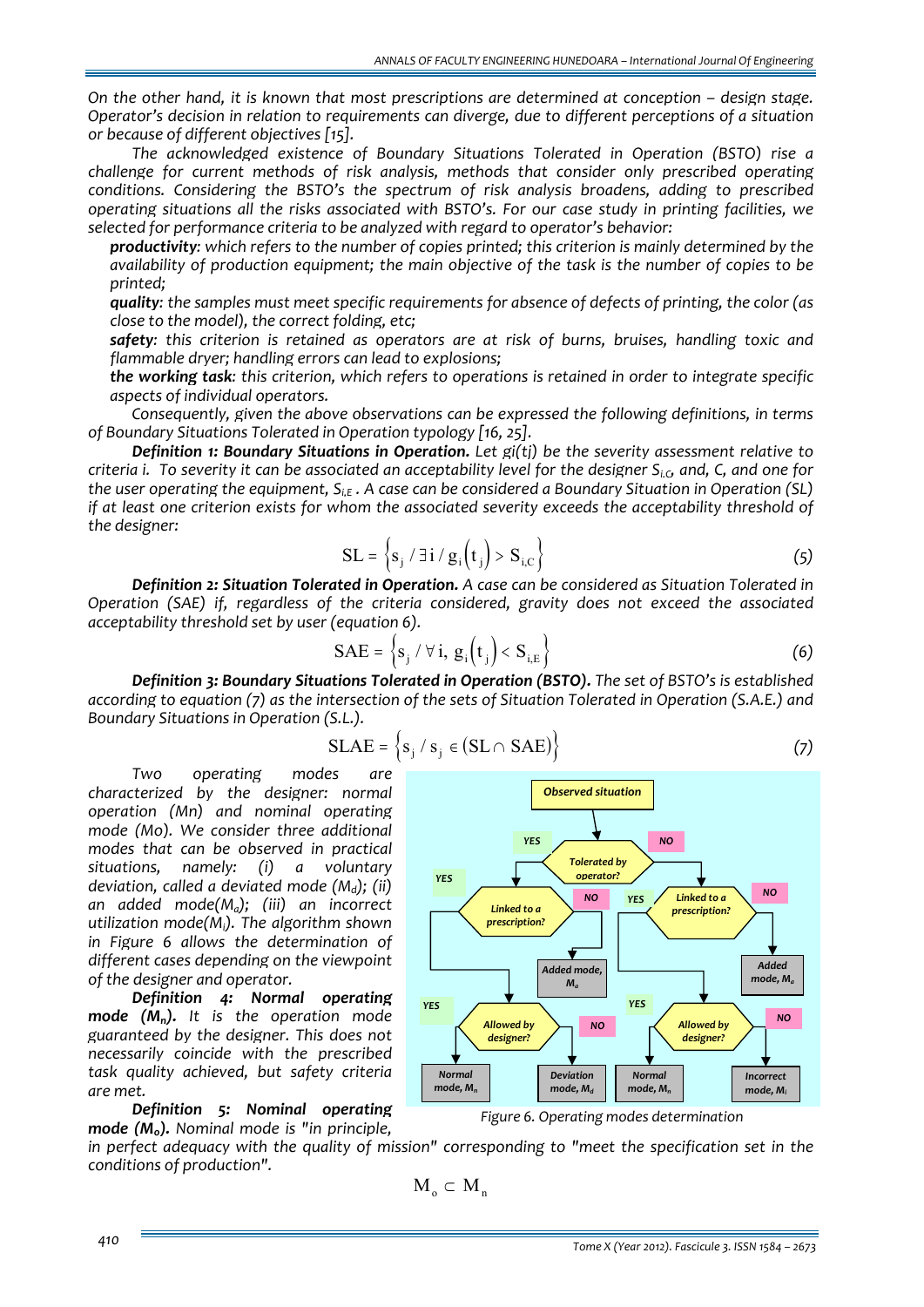*On the other hand, it is known that most prescriptions are determined at conception – design stage. Operator's decision in relation to requirements can diverge, due to different perceptions of a situation or because of different objectives [15].*

*The acknowledged existence of Boundary Situations Tolerated in Operation (BSTO) rise a challenge for current methods of risk analysis, methods that consider only prescribed operating conditions. Considering the BSTO's the spectrum of risk analysis broadens, adding to prescribed operating situations all the risks associated with BSTO's. For our case study in printing facilities, we selected for performance criteria to be analyzed with regard to operator's behavior:*

 *productivity: which refers to the number of copies printed; this criterion is mainly determined by the availability of production equipment; the main objective of the task is the number of copies to be printed;*

 *quality: the samples must meet specific requirements for absence of defects of printing, the color (as close to the model), the correct folding, etc;*

 *safety: this criterion is retained as operators are at risk of burns, bruises, handling toxic and flammable dryer; handling errors can lead to explosions;*

 *the working task: this criterion, which refers to operations is retained in order to integrate specific aspects of individual operators.* 

*Consequently, given the above observations can be expressed the following definitions, in terms of Boundary Situations Tolerated in Operation typology [16, 25].*

*Definition 1: Boundary Situations in Operation. Let gi(tj) be the severity assessment relative to* criteria i. To severity it can be associated an acceptability level for the designer  $S_{i,c}$ , and, C, and one for the user operating the equipment,  $S_{i,\epsilon}$ . A case can be considered a Boundary Situation in Operation (SL) *if at least one criterion exists for whom the associated severity exceeds the acceptability threshold of the designer:*

$$
SL = \left\{ s_j / \exists i / g_i \left( t_j \right) > S_{i,C} \right\}
$$
 (5)

*Definition 2: Situation Tolerated in Operation. A case can be considered as Situation Tolerated in Operation (SAE) if, regardless of the criteria considered, gravity does not exceed the associated acceptability threshold set by user (equation 6).* 

$$
SAE = \left\{ s_j / \forall i, g_i(t_j) < S_{i,E} \right\} \tag{6}
$$

*Definition 3: Boundary Situations Tolerated in Operation (BSTO). The set of BSTO's is established* according to equation (7) as the intersection of the sets of Situation Tolerated in Operation (S.A.E.) and *Boundary Situations in Operation (S.L.).*

$$
SLAE = \{s_j / s_j \in (SL \cap SAE)\}
$$
 (7)

*Two operating modes are characterized by the designer: normal operation (Mn) and nominal operating mode (Mo). We consider three additional modes that can be observed in practical situations, namely: (i) a voluntary deviation, called a deviated mode (Md); (ii) an added mode(Ma); (iii) an incorrect utilization mode(Mi). The algorithm shown in Figure 6 allows the determination of different cases depending on the viewpoint of the designer and operator.*

*Definition 4: Normal operating mode (Mn). It is the operation mode guaranteed by the designer. This does not necessarily coincide with the prescribed task quality achieved, but safety criteria are met.* 

*Definition 5: Nominal operating mode (Mo). Nominal mode is "in principle,*

*in perfect adequacy with the quality of mission" corresponding to "meet the specification set in the conditions of production".*

 $M_0 \subset M_n$ 

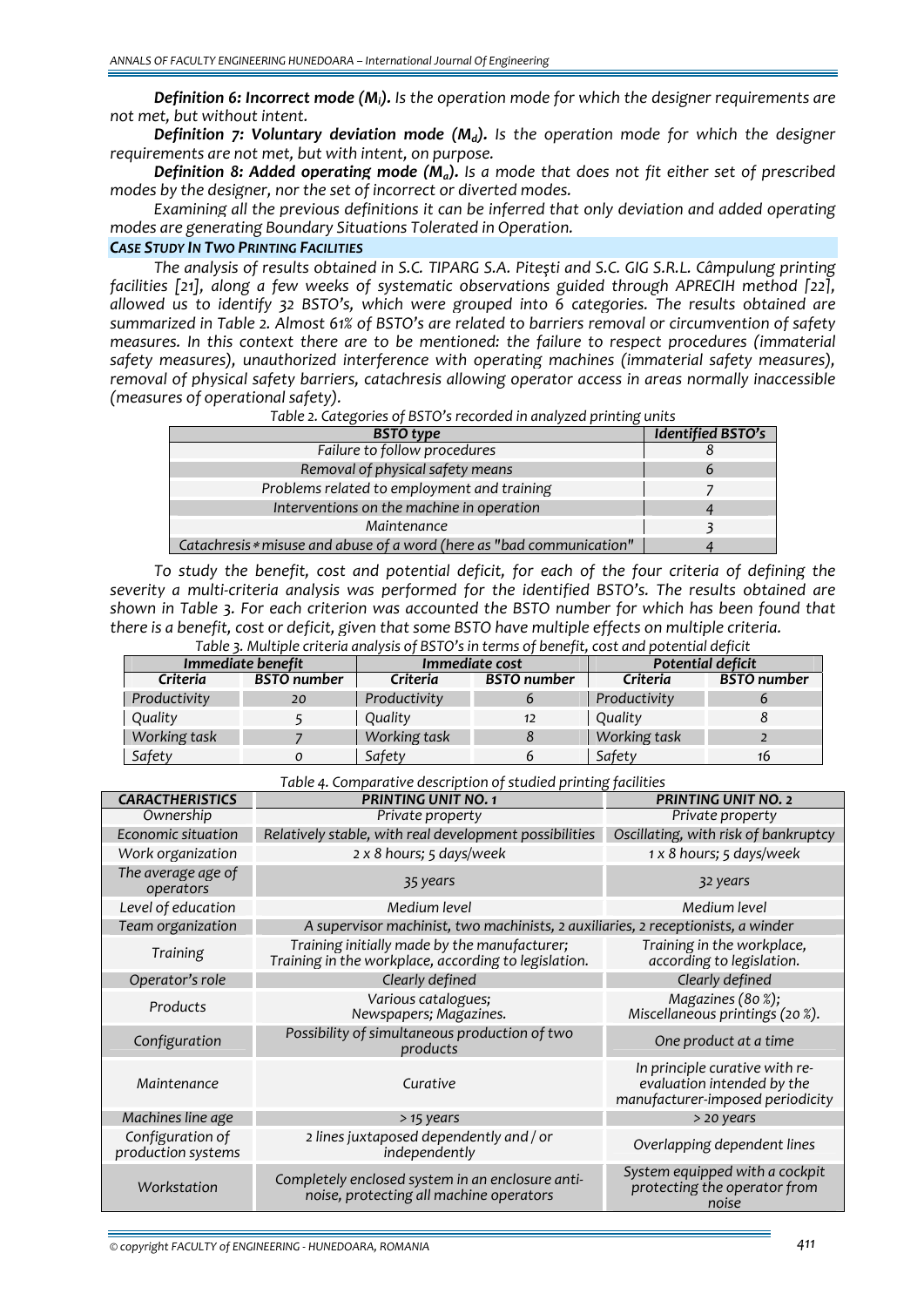*Definition 6: Incorrect mode (Mi). Is the operation mode for which the designer requirements are not met, but without intent.*

*Definition 7: Voluntary deviation mode (Md). Is the operation mode for which the designer requirements are not met, but with intent, on purpose.*

*Definition 8: Added operating mode (Ma). Is a mode that does not fit either set of prescribed modes by the designer, nor the set of incorrect or diverted modes.*

*Examining all the previous definitions it can be inferred that only deviation and added operating modes are generating Boundary Situations Tolerated in Operation.*

# *CASE STUDY IN TWO PRINTING FACILITIES*

The analysis of results obtained in S.C. TIPARG S.A. Pitesti and S.C. GIG S.R.L. Câmpulung printing *facilities [21], along a few weeks of systematic observations guided through APRECIH method [22], allowed us to identify 32 BSTO's, which were grouped into 6 categories. The results obtained are summarized in Table 2. Almost 61% of BSTO's are related to barriers removal or circumvention of safety measures. In this context there are to be mentioned: the failure to respect procedures (immaterial safety measures), unauthorized interference with operating machines (immaterial safety measures), removal of physical safety barriers, catachresis allowing operator access in areas normally inaccessible (measures of operational safety).*

| <b>BSTO</b> type                                                      | <b>Identified BSTO's</b> |
|-----------------------------------------------------------------------|--------------------------|
| Failure to follow procedures                                          |                          |
| Removal of physical safety means                                      | $\mathbf b$              |
| Problems related to employment and training                           |                          |
| Interventions on the machine in operation                             |                          |
| Maintenance                                                           |                          |
| Catachresis * misuse and abuse of a word (here as "bad communication" |                          |

To study the benefit, cost and potential deficit, for each of the four criteria of defining the *severity a multi‐criteria analysis was performed for the identified BSTO's. The results obtained are shown in Table 3. For each criterion was accounted the BSTO number for which has been found that there is a benefit, cost or deficit, given that some BSTO have multiple effects on multiple criteria. Table 3. Multiple criteria analysis of BSTO's in terms of benefit, cost and potential deficit*

| Table 3. Marrible Criteria analysis of DSTO S in terms of benefit, cost and potential deficit |                    |                |                    |                   |                    |  |
|-----------------------------------------------------------------------------------------------|--------------------|----------------|--------------------|-------------------|--------------------|--|
| Immediate benefit                                                                             |                    | Immediate cost |                    | Potential deficit |                    |  |
| Criteria                                                                                      | <b>BSTO</b> number | Criteria       | <b>BSTO</b> number | Criteria          | <b>BSTO</b> number |  |
| Productivity                                                                                  | 20                 | Productivity   |                    | Productivity      |                    |  |
| Quality                                                                                       |                    | Quality        | 12                 | Quality           |                    |  |
| Working task                                                                                  |                    | Working task   |                    | Working task      |                    |  |
| Safety                                                                                        |                    | Safety         | b.                 | Safety            | 16                 |  |

*Table 4. Comparative description of studied printing facilities* 

| <b>CARACTHERISTICS</b>                 | <b>PRINTING UNIT NO. 1</b>                                                                           | <b>PRINTING UNIT NO. 2</b>                                                                       |  |  |
|----------------------------------------|------------------------------------------------------------------------------------------------------|--------------------------------------------------------------------------------------------------|--|--|
| Ownership                              | Private property                                                                                     | Private property                                                                                 |  |  |
| Economic situation                     | Relatively stable, with real development possibilities                                               | Oscillating, with risk of bankruptcy                                                             |  |  |
| Work organization                      | 2 x 8 hours; 5 days/week                                                                             | 1 x 8 hours; 5 days/week                                                                         |  |  |
| The average age of<br>operators        | 35 years                                                                                             | 32 years                                                                                         |  |  |
| Level of education                     | Medium level                                                                                         | Medium level                                                                                     |  |  |
| Team organization                      | A supervisor machinist, two machinists, 2 auxiliaries, 2 receptionists, a winder                     |                                                                                                  |  |  |
| Training                               | Training initially made by the manufacturer;<br>Training in the workplace, according to legislation. | Training in the workplace,<br>according to legislation.                                          |  |  |
| Operator's role                        | Clearly defined                                                                                      | Clearly defined                                                                                  |  |  |
| Products                               | Various catalogues;<br>Newspapers; Magazines.                                                        | Magazines (80%);<br>Miscellaneous printings (20 %).                                              |  |  |
| Configuration                          | Possibility of simultaneous production of two<br>products                                            | One product at a time                                                                            |  |  |
| Maintenance                            | Curative                                                                                             | In principle curative with re-<br>evaluation intended by the<br>manufacturer-imposed periodicity |  |  |
| Machines line age                      | > 15 years                                                                                           | > 20 years                                                                                       |  |  |
| Configuration of<br>production systems | 2 lines juxtaposed dependently and / or<br>independently                                             | Overlapping dependent lines                                                                      |  |  |
| Workstation                            | Completely enclosed system in an enclosure anti-<br>noise, protecting all machine operators          | System equipped with a cockpit<br>protecting the operator from<br>noise                          |  |  |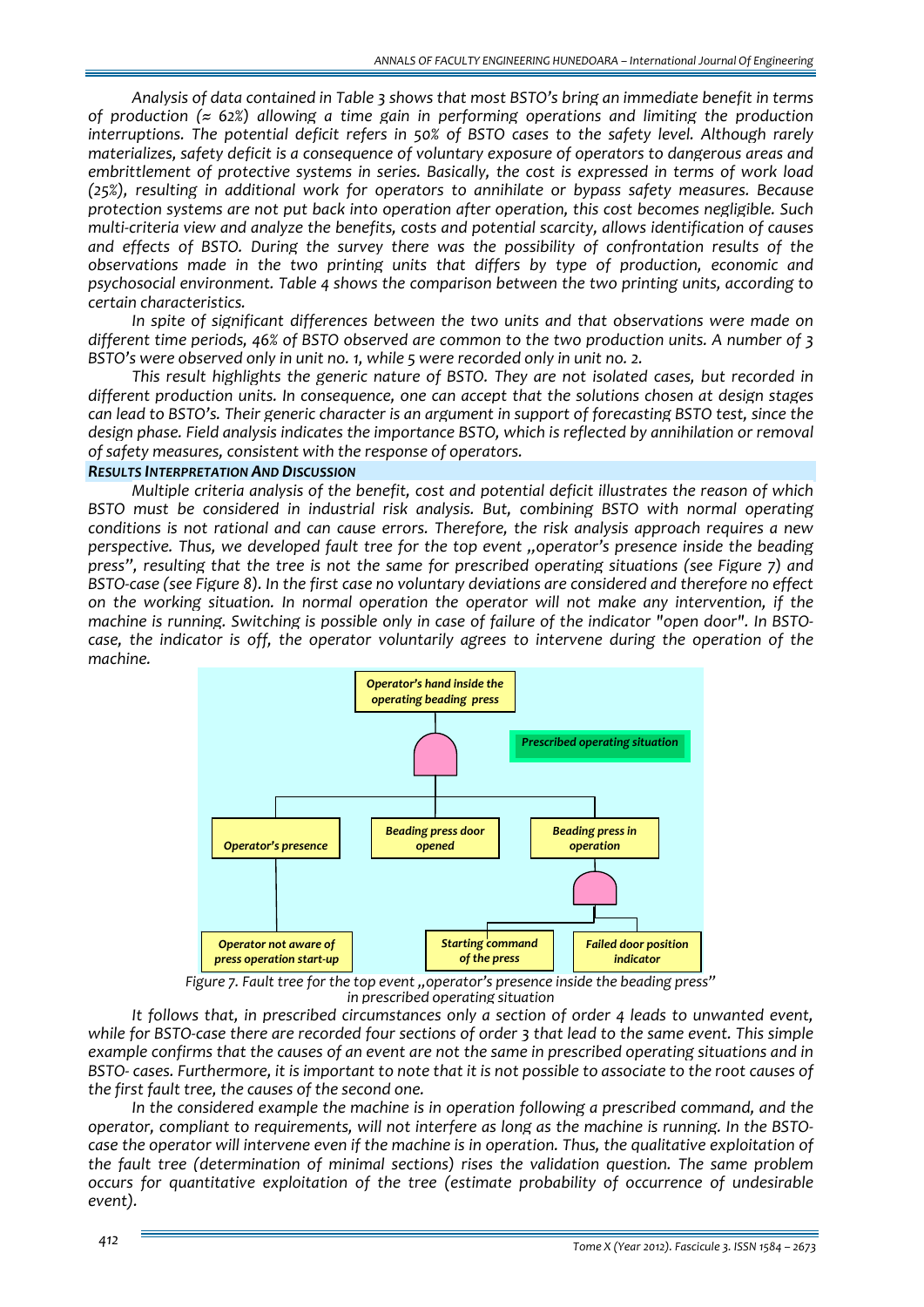*Analysis of data contained in Table 3 shows that most BSTO's bring an immediate benefit in terms of production (≈ 62%) allowing a time gain in performing operations and limiting the production interruptions. The potential deficit refers in 50% of BSTO cases to the safety level. Although rarely materializes, safety deficit is a consequence of voluntary exposure of operators to dangerous areas and embrittlement of protective systems in series. Basically, the cost is expressed in terms of work load (25%), resulting in additional work for operators to annihilate or bypass safety measures. Because protection systems are not put back into operation after operation, this cost becomes negligible. Such multi‐criteria view and analyze the benefits, costs and potential scarcity, allows identification of causes and effects of BSTO. During the survey there was the possibility of confrontation results of the observations made in the two printing units that differs by type of production, economic and psychosocial environment. Table 4 shows the comparison between the two printing units, according to certain characteristics.*

*In spite of significant differences between the two units and that observations were made on different time periods, 46% of BSTO observed are common to the two production units. A number of 3 BSTO's were observed only in unit no. 1, while 5 were recorded only in unit no. 2.*

*This result highlights the generic nature of BSTO. They are not isolated cases, but recorded in different production units. In consequence, one can accept that the solutions chosen at design stages* can lead to BSTO's. Their generic character is an argument in support of forecasting BSTO test, since the *design phase. Field analysis indicates the importance BSTO, which is reflected by annihilation or removal of safety measures, consistent with the response of operators.*

## *RESULTS INTERPRETATION AND DISCUSSION*

*Multiple criteria analysis of the benefit, cost and potential deficit illustrates the reason of which BSTO must be considered in industrial risk analysis. But, combining BSTO with normal operating conditions is not rational and can cause errors. Therefore, the risk analysis approach requires a new perspective. Thus, we developed fault tree for the top event "operator's presence inside the beading press", resulting that the tree is not the same for prescribed operating situations (see Figure 7) and* BSTO-case (see Figure 8). In the first case no voluntary deviations are considered and therefore no effect *on the working situation. In normal operation the operator will not make any intervention, if the* machine is running. Switching is possible only in case of failure of the indicator "open door". In BSTO*case, the indicator is off, the operator voluntarily agrees to intervene during the operation of the machine.*



Figure 7. Fault tree for the top event, , operator's presence inside the beading press"<br>in prescribed operating situation

*It follows that, in prescribed circumstances only a section of order 4 leads to unwanted event,* while for BSTO-case there are recorded four sections of order 3 that lead to the same event. This simple example confirms that the causes of an event are not the same in prescribed operating situations and in BSTO- cases. Furthermore, it is important to note that it is not possible to associate to the root causes of *the first fault tree, the causes of the second one.*

*In the considered example the machine is in operation following a prescribed command, and the* operator, compliant to requirements, will not interfere as long as the machine is running. In the BSTOcase the operator will intervene even if the machine is in operation. Thus, the qualitative exploitation of *the fault tree (determination of minimal sections) rises the validation question. The same problem occurs for quantitative exploitation of the tree (estimate probability of occurrence of undesirable event).*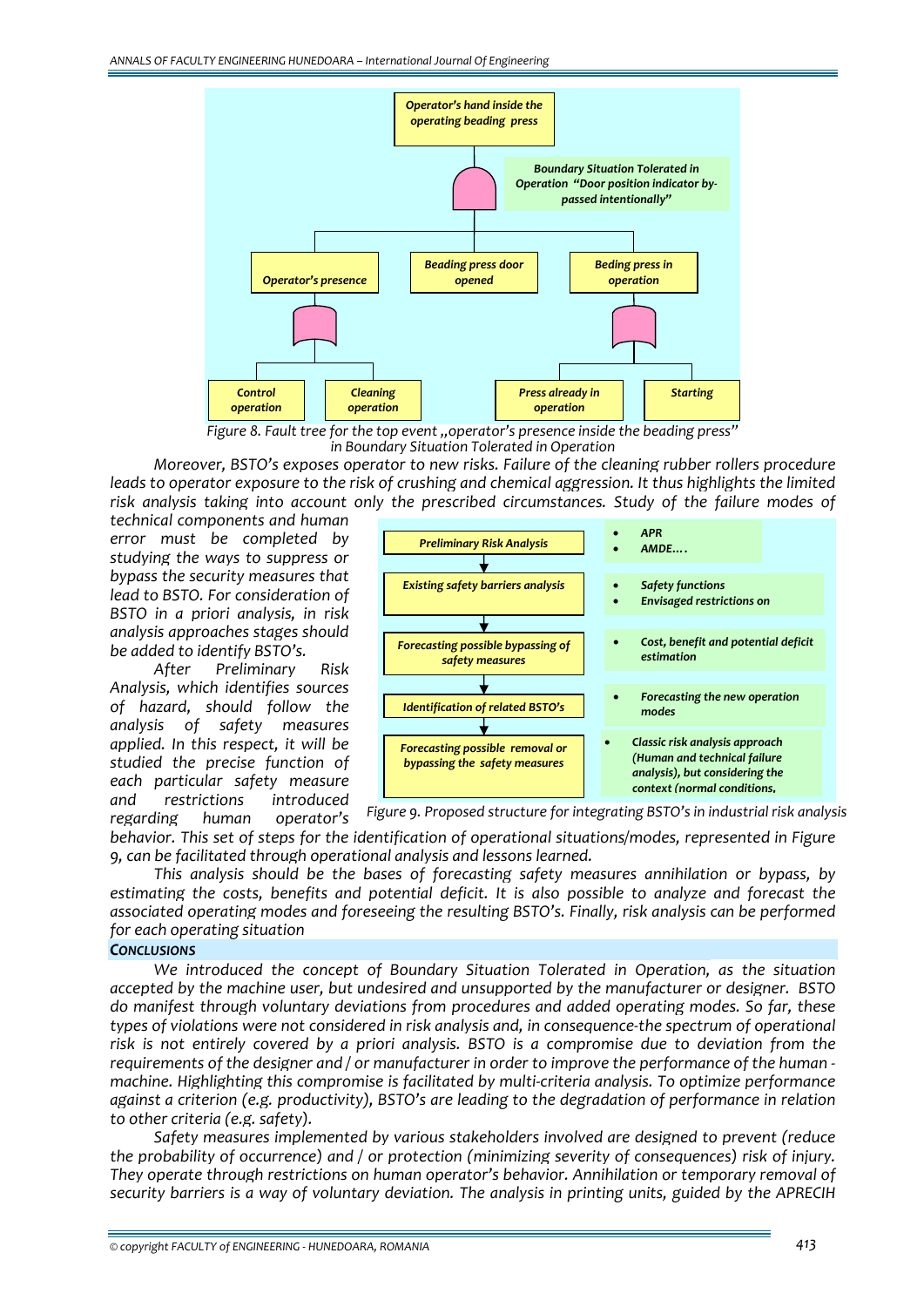

Figure 8. Fault tree for the top event, , operator's presence inside the beading press"<br>in Boundary Situation Tolerated in Operation

*Moreover, BSTO's exposes operator to new risks. Failure of the cleaning rubber rollers procedure* leads to operator exposure to the risk of crushing and chemical aggression. It thus highlights the limited *risk analysis taking into account only the prescribed circumstances. Study of the failure modes of*

*technical components and human error must be completed by studying the ways to suppress or bypass the security measures that lead to BSTO. For consideration of BSTO in a priori analysis, in risk analysis approaches stages should be added to identify BSTO's.* 

*After Preliminary Risk Analysis, which identifies sources of hazard, should follow the analysis of safety measures applied. In this respect, it will be studied the precise function of each particular safety measure and restrictions introduced regarding human operator's*



*Figure 9. Proposed structure for integrating BSTO's in industrial risk analysis*

*behavior. This set of steps for the identification of operational situations/modes, represented in Figure 9, can be facilitated through operational analysis and lessons learned.*

*This analysis should be the bases of forecasting safety measures annihilation or bypass, by estimating the costs, benefits and potential deficit. It is also possible to analyze and forecast the associated operating modes and foreseeing the resulting BSTO's. Finally, risk analysis can be performed for each operating situation*

# *CONCLUSIONS*

*We introduced the concept of Boundary Situation Tolerated in Operation, as the situation accepted by the machine user, but undesired and unsupported by the manufacturer or designer. BSTO do manifest through voluntary deviations from procedures and added operating modes. So far, these types of violations were not considered in risk analysis and, in consequence‐the spectrum of operational risk is not entirely covered by a priori analysis. BSTO is a compromise due to deviation from the* requirements of the designer and / or manufacturer in order to improve the performance of the human *machine. Highlighting this compromise is facilitated by multi‐criteria analysis. To optimize performance against a criterion (e.g. productivity), BSTO's are leading to the degradation of performance in relation to other criteria (e.g. safety).* 

*Safety measures implemented by various stakeholders involved are designed to prevent (reduce the probability of occurrence) and / or protection (minimizing severity of consequences) risk of injury. They operate through restrictions on human operator's behavior. Annihilation or temporary removal of security barriers is a way of voluntary deviation. The analysis in printing units, guided by the APRECIH*